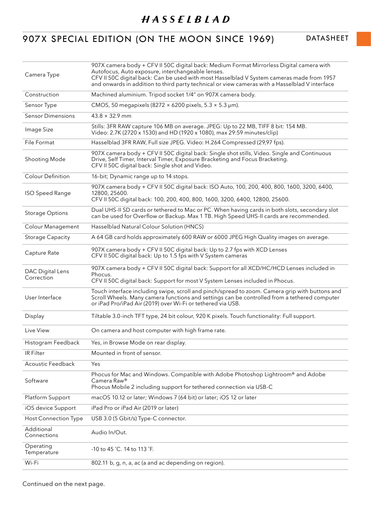## 907X SPECIAL EDITION (ON THE MOON SINCE 1969) DATASHEET

| Camera Type                    | 907X camera body + CFV II 50C digital back: Medium Format Mirrorless Digital camera with<br>Autofocus, Auto exposure, interchangeable lenses.<br>CFV II 50C digital back: Can be used with most Hasselblad V System cameras made from 1957<br>and onwards in addition to third party technical or view cameras with a Hasselblad V interface |
|--------------------------------|----------------------------------------------------------------------------------------------------------------------------------------------------------------------------------------------------------------------------------------------------------------------------------------------------------------------------------------------|
| Construction                   | Machined aluminium. Tripod socket 1/4" on 907X camera body.                                                                                                                                                                                                                                                                                  |
| Sensor Type                    | CMOS, 50 megapixels (8272 $\times$ 6200 pixels, 5.3 $\times$ 5.3 µm).                                                                                                                                                                                                                                                                        |
| <b>Sensor Dimensions</b>       | $43.8 \times 32.9$ mm                                                                                                                                                                                                                                                                                                                        |
| Image Size                     | Stills: 3FR RAW capture 106 MB on average. JPEG: Up to 22 MB, TIFF 8 bit: 154 MB.<br>Video: 2.7K (2720 x 1530) and HD (1920 x 1080), max 29:59 minutes/clip)                                                                                                                                                                                 |
| File Format                    | Hasselblad 3FR RAW, Full size JPEG. Video: H.264 Compressed (29,97 fps).                                                                                                                                                                                                                                                                     |
| Shooting Mode                  | 907X camera body + CFV II 50C digital back: Single shot stills, Video. Single and Continuous<br>Drive, Self Timer, Interval Timer, Exposure Bracketing and Focus Bracketing.<br>CFV II 50C digital back: Single shot and Video.                                                                                                              |
| <b>Colour Definition</b>       | 16-bit; Dynamic range up to 14 stops.                                                                                                                                                                                                                                                                                                        |
| <b>ISO Speed Range</b>         | 907X camera body + CFV II 50C digital back: ISO Auto, 100, 200, 400, 800, 1600, 3200, 6400,<br>12800, 25600.<br>CFV II 50C digital back: 100, 200, 400, 800, 1600, 3200, 6400, 12800, 25600.                                                                                                                                                 |
| <b>Storage Options</b>         | Dual UHS-II SD cards or tethered to Mac or PC. When having cards in both slots, secondary slot<br>can be used for Overflow or Backup. Max 1 TB. High Speed UHS-II cards are recommended.                                                                                                                                                     |
| <b>Colour Management</b>       | Hasselblad Natural Colour Solution (HNCS)                                                                                                                                                                                                                                                                                                    |
| <b>Storage Capacity</b>        | A 64 GB card holds approximately 600 RAW or 6000 JPEG High Quality images on average.                                                                                                                                                                                                                                                        |
| Capture Rate                   | 907X camera body + CFV II 50C digital back: Up to 2.7 fps with XCD Lenses<br>CFV II 50C digital back: Up to 1.5 fps with V System cameras                                                                                                                                                                                                    |
| DAC Digital Lens<br>Correction | 907X camera body + CFV II 50C digital back: Support for all XCD/HC/HCD Lenses included in<br>Phocus.<br>CFV II 50C digital back: Support for most V System Lenses included in Phocus.                                                                                                                                                        |
| User Interface                 | Touch interface including swipe, scroll and pinch/spread to zoom. Camera grip with buttons and<br>Scroll Wheels. Many camera functions and settings can be controlled from a tethered computer<br>or iPad Pro/iPad Air (2019) over Wi-Fi or tethered via USB.                                                                                |
| Display                        | Tiltable 3.0-inch TFT type, 24 bit colour, 920 K pixels. Touch functionality: Full support.                                                                                                                                                                                                                                                  |
| Live View                      | On camera and host computer with high frame rate.                                                                                                                                                                                                                                                                                            |
| Histogram Feedback             | Yes, in Browse Mode on rear display.                                                                                                                                                                                                                                                                                                         |
| <b>IR Filter</b>               | Mounted in front of sensor.                                                                                                                                                                                                                                                                                                                  |
| <b>Acoustic Feedback</b>       | Yes                                                                                                                                                                                                                                                                                                                                          |
| Software                       | Phocus for Mac and Windows. Compatible with Adobe Photoshop Lightroom® and Adobe<br>Camera Raw®<br>Phocus Mobile 2 including support for tethered connection via USB-C                                                                                                                                                                       |
| Platform Support               | macOS 10.12 or later; Windows 7 (64 bit) or later; iOS 12 or later                                                                                                                                                                                                                                                                           |
| iOS device Support             | iPad Pro or iPad Air (2019 or later)                                                                                                                                                                                                                                                                                                         |
| <b>Host Connection Type</b>    | USB 3.0 (5 Gbit/s) Type-C connector.                                                                                                                                                                                                                                                                                                         |
| Additional<br>Connections      | Audio In/Out.                                                                                                                                                                                                                                                                                                                                |
| Operating<br>Temperature       | -10 to 45 °C. 14 to 113 °F.                                                                                                                                                                                                                                                                                                                  |
| Wi-Fi                          | 802.11 b, g, n, a, ac (a and ac depending on region).                                                                                                                                                                                                                                                                                        |

Continued on the next page.